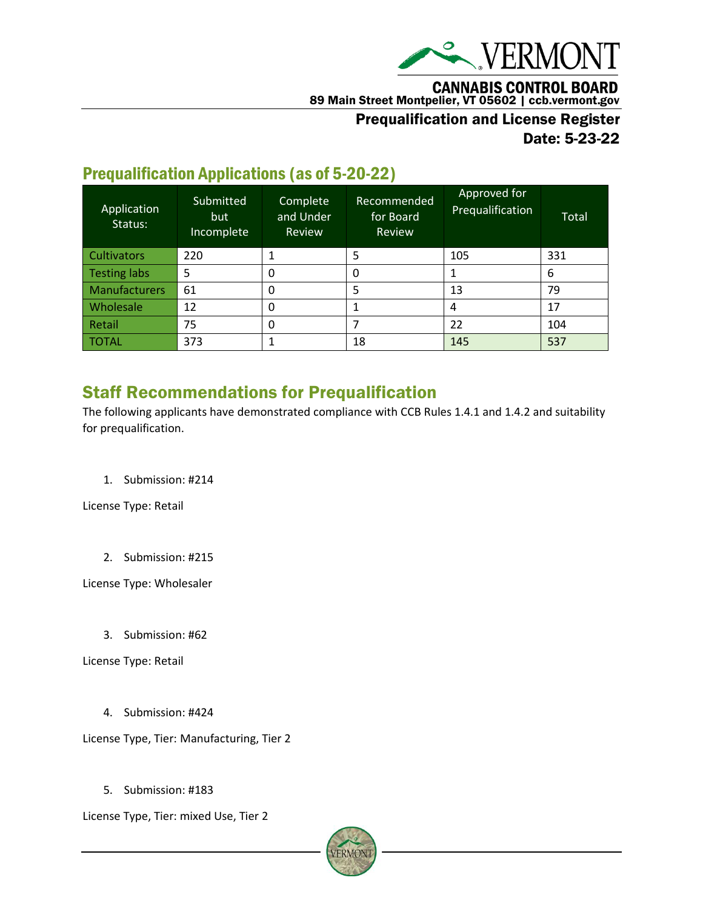

**CANNABIS CONTROL BOARD** 

89 Main Street Montpelier, VT 05602 | ccb.vermont.gov

### Prequalification and License Register

Date: 5-23-22

### Prequalification Applications (as of 5-20-22)

| Application<br>Status: | Submitted<br>but<br>Incomplete | Complete<br>and Under<br>Review | Recommended<br>for Board<br>Review | Approved for<br>Prequalification | Total |
|------------------------|--------------------------------|---------------------------------|------------------------------------|----------------------------------|-------|
| <b>Cultivators</b>     | 220                            |                                 | 5                                  | 105                              | 331   |
| <b>Testing labs</b>    | 5                              |                                 |                                    |                                  | 6     |
| Manufacturers          | 61                             | 0                               | 5                                  | 13                               | 79    |
| Wholesale              | 12                             | 0                               |                                    | 4                                | 17    |
| Retail                 | 75                             | 0                               |                                    | 22                               | 104   |
| <b>TOTAL</b>           | 373                            |                                 | 18                                 | 145                              | 537   |

## Staff Recommendations for Prequalification

The following applicants have demonstrated compliance with CCB Rules 1.4.1 and 1.4.2 and suitability for prequalification.

1. Submission: #214

License Type: Retail

2. Submission: #215

License Type: Wholesaler

3. Submission: #62

License Type: Retail

4. Submission: #424

License Type, Tier: Manufacturing, Tier 2

5. Submission: #183

License Type, Tier: mixed Use, Tier 2

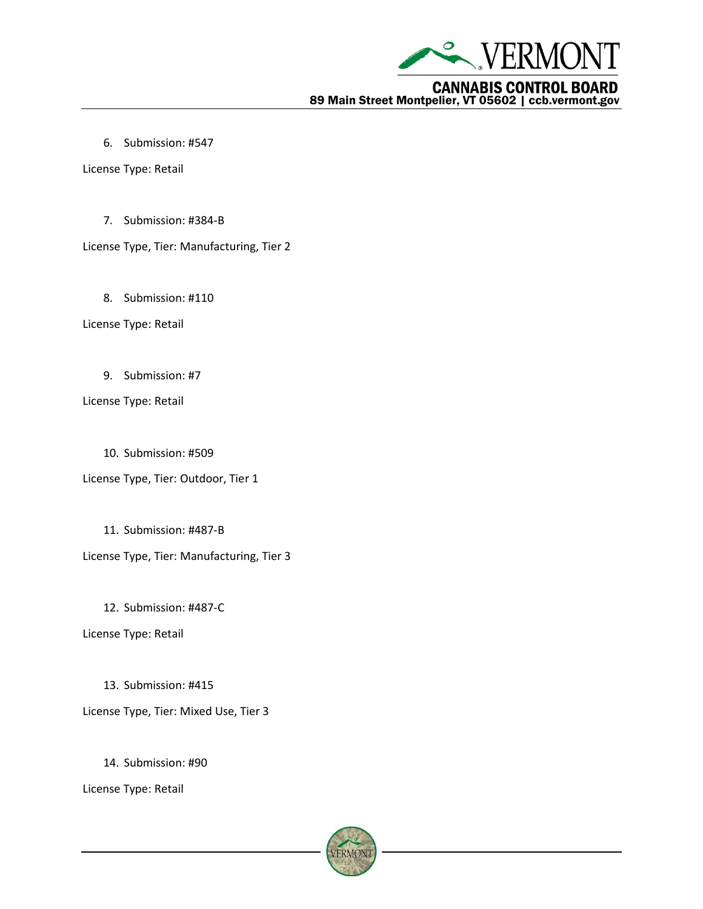

6. Submission: #547

License Type: Retail

7. Submission: #384-B

License Type, Tier: Manufacturing, Tier 2

8. Submission: #110

License Type: Retail

9. Submission: #7

License Type: Retail

10. Submission: #509

License Type, Tier: Outdoor, Tier 1

11. Submission: #487-B

License Type, Tier: Manufacturing, Tier 3

12. Submission: #487-C

License Type: Retail

13. Submission: #415 License Type, Tier: Mixed Use, Tier 3

14. Submission: #90

License Type: Retail

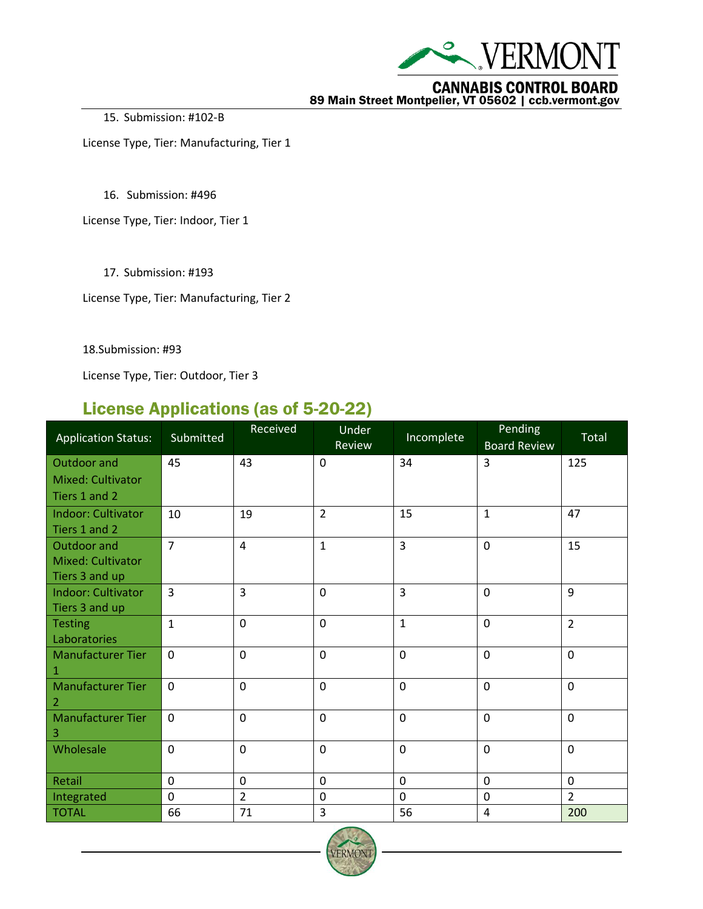

**CANNABIS CONTROL BOARD**<br>89 Main Street Montpelier, VT 05602 | ccb.vermont.gov

15. Submission: #102-B

License Type, Tier: Manufacturing, Tier 1

16. Submission: #496

License Type, Tier: Indoor, Tier 1

17. Submission: #193

License Type, Tier: Manufacturing, Tier 2

18.Submission: #93

License Type, Tier: Outdoor, Tier 3

#### License Applications (as of 5-20-22)

| <b>Application Status:</b>     | Submitted      | Received       | Under<br>Review | Incomplete     | Pending<br><b>Board Review</b> | Total          |
|--------------------------------|----------------|----------------|-----------------|----------------|--------------------------------|----------------|
| Outdoor and                    | 45             | 43             | $\mathbf 0$     | 34             | 3                              | 125            |
| <b>Mixed: Cultivator</b>       |                |                |                 |                |                                |                |
| Tiers 1 and 2                  |                |                |                 |                |                                |                |
| <b>Indoor: Cultivator</b>      | 10             | 19             | $\overline{2}$  | 15             | $\mathbf{1}$                   | 47             |
| Tiers 1 and 2                  |                |                |                 |                |                                |                |
| Outdoor and                    | $\overline{7}$ | $\overline{4}$ | $\mathbf{1}$    | $\overline{3}$ | $\mathbf 0$                    | 15             |
| Mixed: Cultivator              |                |                |                 |                |                                |                |
| Tiers 3 and up                 |                |                |                 |                |                                |                |
| Indoor: Cultivator             | 3              | 3              | $\mathbf 0$     | $\overline{3}$ | $\mathbf 0$                    | 9              |
| Tiers 3 and up                 | $\mathbf{1}$   | $\mathbf 0$    | $\mathbf 0$     | $\mathbf{1}$   | $\mathbf 0$                    | $\overline{2}$ |
| <b>Testing</b><br>Laboratories |                |                |                 |                |                                |                |
| <b>Manufacturer Tier</b>       | $\mathbf 0$    | $\mathbf 0$    | $\mathbf 0$     | $\mathbf 0$    | $\mathbf 0$                    | $\mathbf 0$    |
| 1                              |                |                |                 |                |                                |                |
| <b>Manufacturer Tier</b>       | $\mathbf 0$    | $\mathbf 0$    | $\mathbf 0$     | $\mathbf 0$    | $\mathbf 0$                    | $\mathbf 0$    |
| -2                             |                |                |                 |                |                                |                |
| <b>Manufacturer Tier</b><br>З  | 0              | $\mathbf 0$    | $\mathbf 0$     | $\mathbf 0$    | $\mathbf 0$                    | $\mathbf 0$    |
| Wholesale                      | $\mathbf 0$    | $\mathbf 0$    | $\mathbf 0$     | $\mathbf 0$    | $\mathbf 0$                    | $\mathbf 0$    |
|                                |                |                |                 |                |                                |                |
| Retail                         | 0              | $\mathbf 0$    | $\mathbf 0$     | $\mathbf 0$    | $\mathbf 0$                    | $\mathbf 0$    |
| Integrated                     | $\mathbf 0$    | $\overline{2}$ | $\mathbf 0$     | $\mathbf 0$    | $\mathbf 0$                    | $\overline{2}$ |
| <b>TOTAL</b>                   | 66             | 71             | 3               | 56             | $\overline{4}$                 | 200            |

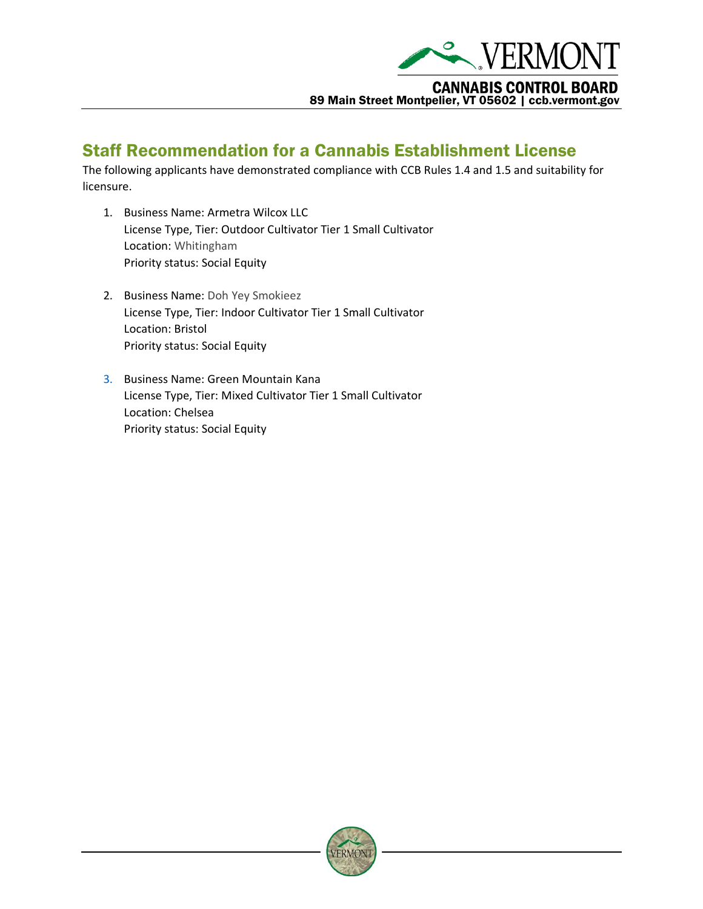

#### Staff Recommendation for a Cannabis Establishment License

The following applicants have demonstrated compliance with CCB Rules 1.4 and 1.5 and suitability for licensure.

- 1. Business Name: Armetra Wilcox LLC License Type, Tier: Outdoor Cultivator Tier 1 Small Cultivator Location: Whitingham Priority status: Social Equity
- 2. Business Name: Doh Yey Smokieez License Type, Tier: Indoor Cultivator Tier 1 Small Cultivator Location: Bristol Priority status: Social Equity
- 3. Business Name: Green Mountain Kana License Type, Tier: Mixed Cultivator Tier 1 Small Cultivator Location: Chelsea Priority status: Social Equity

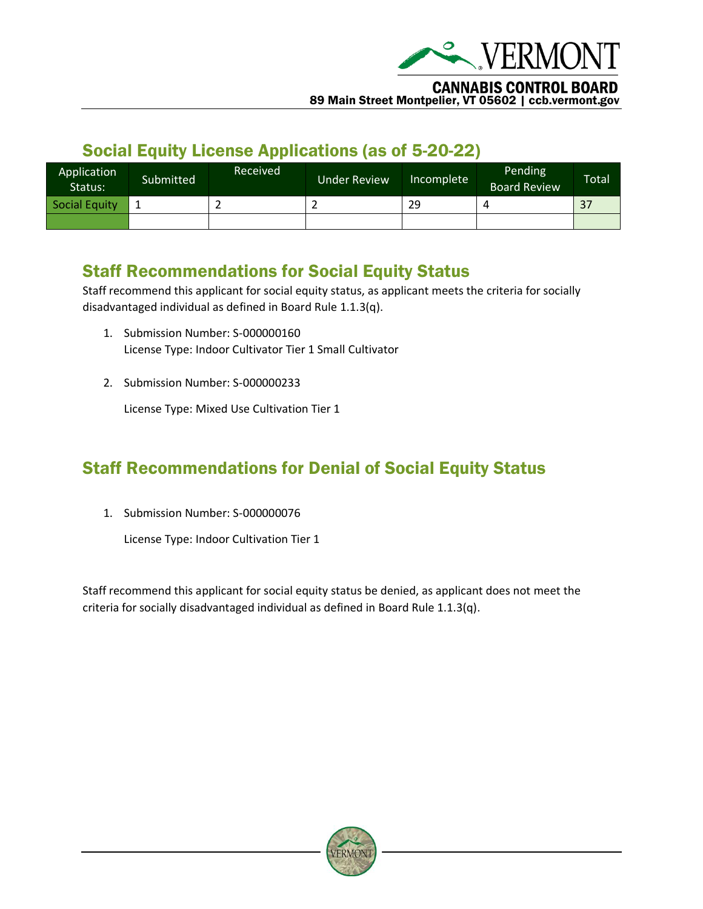

89 Main Street Montpelier, VT 05602 | ccb.vermont.gov

## Social Equity License Applications (as of 5-20-22)

| Application<br>Status: | Submitted | Received' | <b>Under Review</b> | Incomplete | Pending<br><b>Board Review</b> | <b>Total</b> |
|------------------------|-----------|-----------|---------------------|------------|--------------------------------|--------------|
| <b>Social Equity</b>   |           | -         |                     | 29         |                                | 37           |
|                        |           |           |                     |            |                                |              |

## Staff Recommendations for Social Equity Status

Staff recommend this applicant for social equity status, as applicant meets the criteria for socially disadvantaged individual as defined in Board Rule 1.1.3(q).

- 1. Submission Number: S-000000160 License Type: Indoor Cultivator Tier 1 Small Cultivator
- 2. Submission Number: S-000000233

License Type: Mixed Use Cultivation Tier 1

# Staff Recommendations for Denial of Social Equity Status

1. Submission Number: S-000000076

License Type: Indoor Cultivation Tier 1

Staff recommend this applicant for social equity status be denied, as applicant does not meet the criteria for socially disadvantaged individual as defined in Board Rule 1.1.3(q).